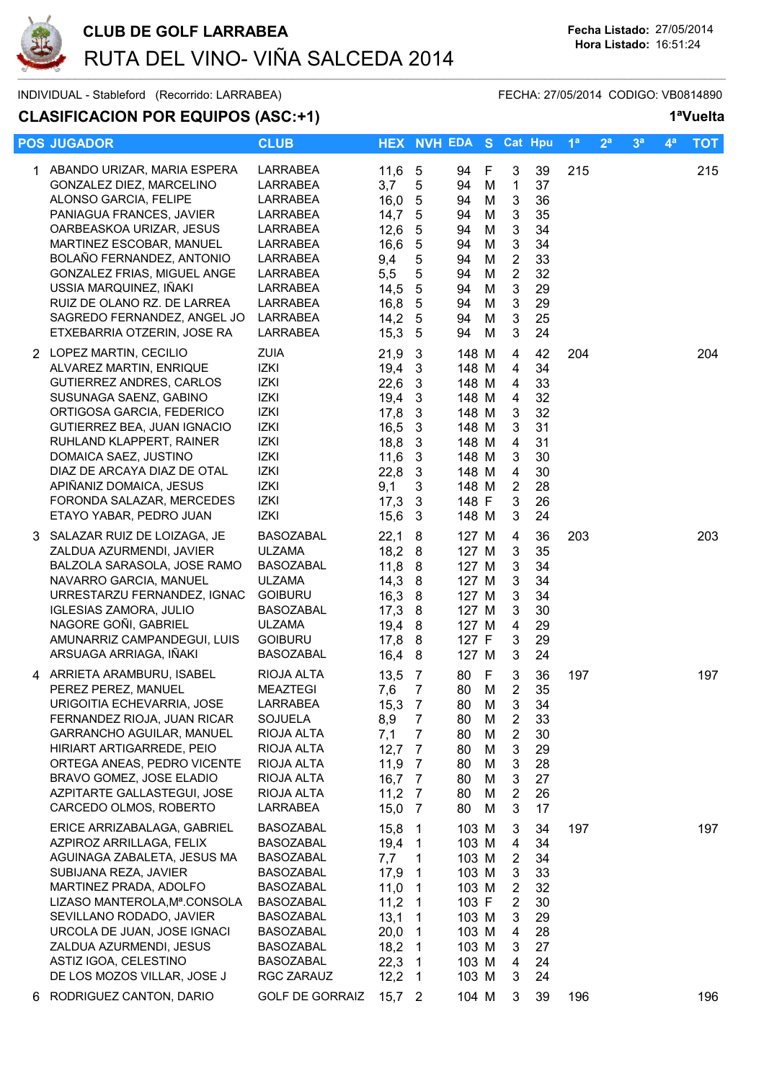

INDIVIDUAL - Stableford (Recorrido: LARRABEA) FECHA: 27/05/2014 CODIGO: VB0814890

## **CLASIFICACION POR EQUIPOS (ASC:+1) 1ªVuelta**

|    | <b>POS JUGADOR</b>                                                                                                                                                                                                                                                                                                                                        | <b>CLUB</b>                                                                                                                                                                     |                                                                                             | <b>HEX NVH EDA S Cat Hpu</b>                                                                                                                           |                                                                                                          |                                                          |                                                                                                            |                                                                      | 1 <sup>a</sup> | 2 <sup>a</sup> | 3 <sup>a</sup> | 4 <sup>a</sup> | <b>TOT</b> |
|----|-----------------------------------------------------------------------------------------------------------------------------------------------------------------------------------------------------------------------------------------------------------------------------------------------------------------------------------------------------------|---------------------------------------------------------------------------------------------------------------------------------------------------------------------------------|---------------------------------------------------------------------------------------------|--------------------------------------------------------------------------------------------------------------------------------------------------------|----------------------------------------------------------------------------------------------------------|----------------------------------------------------------|------------------------------------------------------------------------------------------------------------|----------------------------------------------------------------------|----------------|----------------|----------------|----------------|------------|
|    | 1 ABANDO URIZAR, MARIA ESPERA<br>GONZALEZ DIEZ, MARCELINO<br>ALONSO GARCIA, FELIPE<br>PANIAGUA FRANCES, JAVIER<br>OARBEASKOA URIZAR, JESUS<br>MARTINEZ ESCOBAR, MANUEL<br>BOLAÑO FERNANDEZ, ANTONIO<br>GONZALEZ FRIAS, MIGUEL ANGE<br>USSIA MARQUINEZ, IÑAKI<br>RUIZ DE OLANO RZ. DE LARREA<br>SAGREDO FERNANDEZ, ANGEL JO<br>ETXEBARRIA OTZERIN, JOSE RA | LARRABEA<br>LARRABEA<br><b>LARRABEA</b><br>LARRABEA<br>LARRABEA<br>LARRABEA<br><b>LARRABEA</b><br><b>LARRABEA</b><br>LARRABEA<br>LARRABEA<br>LARRABEA<br>LARRABEA               | 11,6<br>3,7<br>16,0<br>14,7<br>12,6<br>16,6<br>9,4<br>5,5<br>14,5<br>16,8<br>14,2<br>15,3   | $\overline{5}$<br>5<br>$\sqrt{5}$<br>5<br>5<br>5<br>5<br>5<br>5<br>$\sqrt{5}$<br>5<br>$\sqrt{5}$                                                       | 94<br>94<br>94<br>94<br>94<br>94<br>94<br>94<br>94<br>94<br>94<br>94                                     | F<br>M<br>M<br>M<br>M<br>M<br>M<br>M<br>M<br>M<br>M<br>M | 3<br>$\mathbf{1}$<br>3<br>3<br>3<br>3<br>$\overline{2}$<br>$\overline{2}$<br>$\mathfrak{S}$<br>3<br>3<br>3 | 39<br>37<br>36<br>35<br>34<br>34<br>33<br>32<br>29<br>29<br>25<br>24 | 215            |                |                |                | 215        |
|    | 2 LOPEZ MARTIN, CECILIO<br>ALVAREZ MARTIN, ENRIQUE<br>GUTIERREZ ANDRES, CARLOS<br>SUSUNAGA SAENZ, GABINO<br>ORTIGOSA GARCIA, FEDERICO<br>GUTIERREZ BEA, JUAN IGNACIO<br>RUHLAND KLAPPERT, RAINER<br>DOMAICA SAEZ, JUSTINO<br>DIAZ DE ARCAYA DIAZ DE OTAL<br>APIÑANIZ DOMAICA, JESUS<br>FORONDA SALAZAR, MERCEDES<br>ETAYO YABAR, PEDRO JUAN               | ZUIA<br>IZKI<br>IZKI<br>IZKI<br>IZKI<br>IZKI<br>IZKI<br><b>IZKI</b><br>IZKI<br><b>IZKI</b><br>IZKI<br>IZKI                                                                      | 21,9<br>19,4<br>22,6<br>19,4<br>17,8<br>16,5<br>18,8<br>11,6<br>22,8<br>9,1<br>17,3<br>15,6 | 3<br>3<br>3<br>3<br>3<br>3<br>3<br>3<br>3<br>3<br>3<br>3                                                                                               | 148 M<br>148 M<br>148 M<br>148 M<br>148 M<br>148 M<br>148 M<br>148 M<br>148 M<br>148 M<br>148 F<br>148 M |                                                          | 4<br>4<br>4<br>4<br>3<br>3<br>4<br>3<br>$\overline{4}$<br>$\overline{2}$<br>3<br>3                         | 42<br>34<br>33<br>32<br>32<br>31<br>31<br>30<br>30<br>28<br>26<br>24 | 204            |                |                |                | 204        |
|    | 3 SALAZAR RUIZ DE LOIZAGA, JE<br>ZALDUA AZURMENDI, JAVIER<br>BALZOLA SARASOLA, JOSE RAMO<br>NAVARRO GARCIA, MANUEL<br>URRESTARZU FERNANDEZ, IGNAC<br><b>IGLESIAS ZAMORA, JULIO</b><br>NAGORE GOÑI, GABRIEL<br>AMUNARRIZ CAMPANDEGUI, LUIS<br>ARSUAGA ARRIAGA, IÑAKI                                                                                       | <b>BASOZABAL</b><br><b>ULZAMA</b><br><b>BASOZABAL</b><br><b>ULZAMA</b><br><b>GOIBURU</b><br><b>BASOZABAL</b><br><b>ULZAMA</b><br><b>GOIBURU</b><br><b>BASOZABAL</b>             | 22,1<br>18,2<br>11,8<br>14,3<br>16,3<br>17,3<br>19,4<br>17,8<br>16,4                        | 8<br>8<br>8<br>8<br>8<br>8<br>8<br>8<br>8                                                                                                              | 127 M<br>127 M<br>127 M<br>127 M<br>127 M<br>127 M<br>127 M<br>127 F<br>127 M                            |                                                          | 4<br>3<br>3<br>3<br>3<br>3<br>$\overline{4}$<br>3<br>3                                                     | 36<br>35<br>34<br>34<br>34<br>30<br>29<br>29<br>24                   | 203            |                |                |                | 203        |
|    | 4 ARRIETA ARAMBURU, ISABEL<br>PEREZ PEREZ, MANUEL<br>URIGOITIA ECHEVARRIA, JOSE<br>FERNANDEZ RIOJA, JUAN RICAR<br><b>GARRANCHO AGUILAR, MANUEL</b><br>HIRIART ARTIGARREDE, PEIO<br>ORTEGA ANEAS, PEDRO VICENTE<br>BRAVO GOMEZ, JOSE ELADIO<br>AZPITARTE GALLASTEGUI, JOSE<br>CARCEDO OLMOS, ROBERTO                                                       | RIOJA ALTA<br><b>MEAZTEGI</b><br>LARRABEA<br>SOJUELA<br>RIOJA ALTA<br>RIOJA ALTA<br>RIOJA ALTA<br>RIOJA ALTA<br>RIOJA ALTA<br>LARRABEA                                          | 13,5<br>7,6<br>15,3<br>8,9<br>7,1<br>12,7<br>11,9<br>16,7<br>11,2<br>15,0                   | -7<br>$\overline{7}$<br>$\frac{1}{2}$<br>7<br>7<br>$\overline{7}$<br>7<br>$\overline{7}$<br>$\overline{7}$<br>- 7                                      | 80<br>80<br>80<br>80<br>80<br>80<br>80<br>80<br>80<br>80                                                 | -F<br>M<br>M<br>M<br>M<br>M<br>M<br>M<br>М<br>M          | 3<br>$\overline{2}$<br>3<br>2<br>$\overline{2}$<br>3<br>3<br>$\mathfrak{S}$<br>$\overline{2}$<br>3         | 36<br>35<br>34<br>33<br>30<br>29<br>28<br>27<br>26<br>17             | 197            |                |                |                | 197        |
|    | ERICE ARRIZABALAGA, GABRIEL<br>AZPIROZ ARRILLAGA, FELIX<br>AGUINAGA ZABALETA, JESUS MA<br>SUBIJANA REZA, JAVIER<br>MARTINEZ PRADA, ADOLFO<br>LIZASO MANTEROLA, Mª.CONSOLA<br>SEVILLANO RODADO, JAVIER<br>URCOLA DE JUAN, JOSE IGNACI<br>ZALDUA AZURMENDI, JESUS<br>ASTIZ IGOA, CELESTINO<br>DE LOS MOZOS VILLAR, JOSE J                                   | <b>BASOZABAL</b><br><b>BASOZABAL</b><br><b>BASOZABAL</b><br>BASOZABAL<br>BASOZABAL<br><b>BASOZABAL</b><br><b>BASOZABAL</b><br>BASOZABAL<br>BASOZABAL<br>BASOZABAL<br>RGC ZARAUZ | 15,8<br>19,4<br>7,7<br>17,9<br>11,0<br>11,2<br>13,1<br>20,0<br>18,2<br>22,3<br>12,2         | $\mathbf 1$<br>$\overline{1}$<br>1<br>1<br>1<br>$\overline{1}$<br>$\mathbf{1}$<br>$\overline{1}$<br>$\overline{1}$<br>$\overline{1}$<br>$\overline{1}$ | 103 M<br>103 M<br>103 M<br>103 M<br>103 M<br>103 F<br>103 M<br>103 M<br>103 M<br>103 M<br>103 M          |                                                          | 3<br>4<br>$\overline{2}$<br>3<br>$\overline{2}$<br>$\overline{2}$<br>3<br>4<br>3<br>4<br>3                 | 34<br>34<br>34<br>33<br>32<br>30<br>29<br>28<br>27<br>24<br>24       | 197            |                |                |                | 197        |
| 6. | RODRIGUEZ CANTON, DARIO                                                                                                                                                                                                                                                                                                                                   | <b>GOLF DE GORRAIZ</b>                                                                                                                                                          | $15,7$ 2                                                                                    |                                                                                                                                                        | 104 M                                                                                                    |                                                          | 3                                                                                                          | 39                                                                   | 196            |                |                |                | 196        |